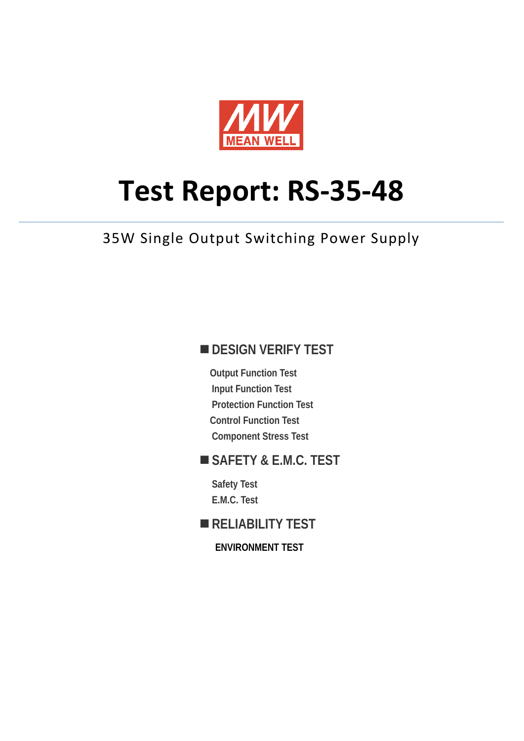

# **Test Report: RS-35-48**

35W Single Output Switching Power Supply

### **DESIGN VERIFY TEST**

**Output Function Test Input Function Test Protection Function Test Control Function Test Component Stress Test** 

## **SAFETY & E.M.C. TEST**

**Safety Test E.M.C. Test** 

## **RELIABILITY TEST**

**ENVIRONMENT TEST**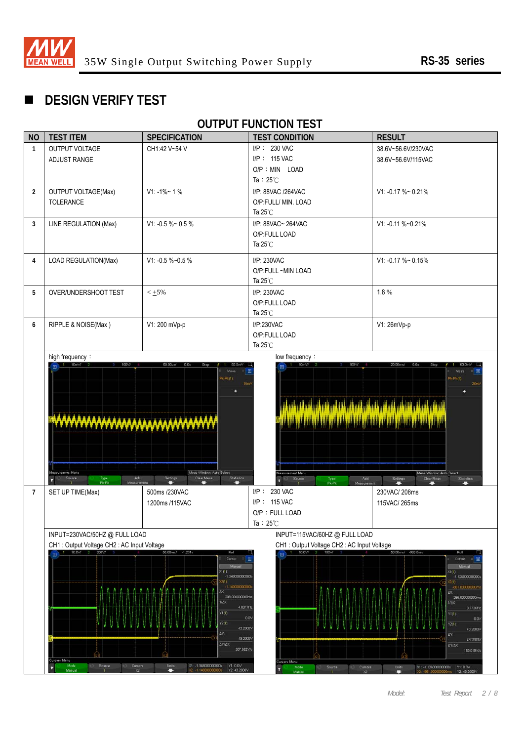

# **DESIGN VERIFY TEST**

## **OUTPUT FUNCTION TEST**

| <b>NO</b>      | <b>TEST ITEM</b>                                                                                                                                                                                                                                              | <b>SPECIFICATION</b>                                                           | <b>TEST CONDITION</b>                                             | <b>RESULT</b>                                                                                                                                                                                                                             |  |  |
|----------------|---------------------------------------------------------------------------------------------------------------------------------------------------------------------------------------------------------------------------------------------------------------|--------------------------------------------------------------------------------|-------------------------------------------------------------------|-------------------------------------------------------------------------------------------------------------------------------------------------------------------------------------------------------------------------------------------|--|--|
| $\mathbf{1}$   | OUTPUT VOLTAGE                                                                                                                                                                                                                                                | CH1:42 V~54 V                                                                  | $I/P$ : 230 VAC                                                   | 38.6V~56.6V/230VAC                                                                                                                                                                                                                        |  |  |
|                | ADJUST RANGE                                                                                                                                                                                                                                                  |                                                                                | I/P: 115 VAC                                                      | 38.6V~56.6V/115VAC                                                                                                                                                                                                                        |  |  |
|                |                                                                                                                                                                                                                                                               |                                                                                | O/P : MIN LOAD                                                    |                                                                                                                                                                                                                                           |  |  |
|                |                                                                                                                                                                                                                                                               |                                                                                | Ta: $25^{\circ}$ C                                                |                                                                                                                                                                                                                                           |  |  |
| $\overline{2}$ | <b>OUTPUT VOLTAGE(Max)</b>                                                                                                                                                                                                                                    | $V1: -1\% - 1\%$                                                               | I/P: 88VAC /264VAC                                                | V1: -0.17 %~ 0.21%                                                                                                                                                                                                                        |  |  |
|                | TOLERANCE                                                                                                                                                                                                                                                     |                                                                                | O/P:FULL/ MIN. LOAD                                               |                                                                                                                                                                                                                                           |  |  |
|                |                                                                                                                                                                                                                                                               |                                                                                | Ta: $25^{\circ}$ C                                                |                                                                                                                                                                                                                                           |  |  |
| $\mathbf{3}$   | LINE REGULATION (Max)                                                                                                                                                                                                                                         | V1: -0.5 %~ 0.5 %                                                              | I/P: 88VAC~ 264VAC                                                | V1: -0.11 %~0.21%                                                                                                                                                                                                                         |  |  |
|                |                                                                                                                                                                                                                                                               |                                                                                | O/P:FULL LOAD                                                     |                                                                                                                                                                                                                                           |  |  |
|                |                                                                                                                                                                                                                                                               |                                                                                | Ta: $25^{\circ}$ C                                                |                                                                                                                                                                                                                                           |  |  |
| $\overline{4}$ | LOAD REGULATION(Max)                                                                                                                                                                                                                                          | V1: -0.5 %~0.5 %                                                               | I/P: 230VAC                                                       | $V1: -0.17 \% \sim 0.15%$                                                                                                                                                                                                                 |  |  |
|                |                                                                                                                                                                                                                                                               |                                                                                | O/P:FULL ~MIN LOAD                                                |                                                                                                                                                                                                                                           |  |  |
|                |                                                                                                                                                                                                                                                               |                                                                                | Ta: $25^{\circ}$ C                                                |                                                                                                                                                                                                                                           |  |  |
| 5              | OVER/UNDERSHOOT TEST                                                                                                                                                                                                                                          | $< +5\%$                                                                       | I/P: 230VAC                                                       | 1.8%                                                                                                                                                                                                                                      |  |  |
|                |                                                                                                                                                                                                                                                               |                                                                                | O/P:FULL LOAD                                                     |                                                                                                                                                                                                                                           |  |  |
|                |                                                                                                                                                                                                                                                               |                                                                                | Ta: $25^{\circ}$ C                                                |                                                                                                                                                                                                                                           |  |  |
| 6              | RIPPLE & NOISE(Max)                                                                                                                                                                                                                                           | V1: 200 mVp-p                                                                  | I/P:230VAC                                                        | V1: 26mVp-p                                                                                                                                                                                                                               |  |  |
|                |                                                                                                                                                                                                                                                               |                                                                                | O/P:FULL LOAD                                                     |                                                                                                                                                                                                                                           |  |  |
|                |                                                                                                                                                                                                                                                               |                                                                                | Ta: $25^{\circ}$ C                                                |                                                                                                                                                                                                                                           |  |  |
|                | easurement Menu<br>Add<br>Type:<br>Pk-Pk<br>Measureme                                                                                                                                                                                                         | Meas Window: Auto Select<br>Statistics<br>Settings<br><b>Clear Meas</b>        | reasurement Menu<br>Source<br>Add<br>Type:<br>Pk-Pk<br>Measuremen | Meas Window. Auto Select<br>Clear Meas<br>Settings<br>Statistics<br><b>Contract</b>                                                                                                                                                       |  |  |
| $\overline{7}$ | SET UP TIME(Max)                                                                                                                                                                                                                                              | 500ms /230VAC                                                                  | <b>230 VAC</b><br>$I/P$ :                                         | 230VAC/208ms                                                                                                                                                                                                                              |  |  |
|                |                                                                                                                                                                                                                                                               | 1200ms /115VAC                                                                 | I/P: 115 VAC                                                      | 115VAC/265ms                                                                                                                                                                                                                              |  |  |
|                |                                                                                                                                                                                                                                                               |                                                                                | O/P: FULL LOAD                                                    |                                                                                                                                                                                                                                           |  |  |
|                |                                                                                                                                                                                                                                                               |                                                                                | Ta: $25^{\circ}$ C                                                |                                                                                                                                                                                                                                           |  |  |
|                | INPUT=230VAC/50HZ @ FULL LOAD                                                                                                                                                                                                                                 |                                                                                |                                                                   | INPUT=115VAC/60HZ @ FULL LOAD                                                                                                                                                                                                             |  |  |
|                | CH1: Output Voltage CH2: AC Input Voltage                                                                                                                                                                                                                     |                                                                                |                                                                   | CH1: Output Voltage CH2: AC Input Voltage                                                                                                                                                                                                 |  |  |
|                | 10.0V/<br>50.00ms/ -1.231s<br>同<br>Cursor<br>Manua<br>XI (1)<br>134800000000<br>2(1)<br>$-1.140000000000$<br>AX:<br>208.000000000mi<br>$1/\Delta$ X<br>4.8077Hz<br>Y1(1)<br>0.0%<br>Y2(1)<br>43.2000V<br>ΔY<br>43.2000V<br>AY/AX<br>207.692V/s<br>ursors Menu |                                                                                | $10.0$ V/<br>ursors Menu                                          | 50.00ms/ -985.0ms<br>Rol<br>Curson<br>Manual<br>X1(1)<br>$-1.126000000000$<br>201<br>-861.00000000<br>ΔX<br>265.000000000m<br>$1/\Delta$ X<br>3.7736H<br>Y1(1)<br>0.0<br>Y2(1)<br>43.2000\<br>ΔY<br>43.2000\<br><b>AY/AX</b><br>163.019V/ |  |  |
|                | Mode<br>Source<br>Cursors<br>c<br>Manual<br>$\infty$                                                                                                                                                                                                          | X1: -1:34800000000s<br>Units<br>Y1:0.0V<br>o<br>Y2.43.2000V<br>$-1,1400000000$ | Mode<br>Source<br>Cursors<br>٠<br>Manua<br>x                      | X1: -1.126000000000s<br>Units<br>Y1:0.0V<br>Ξ.<br>Y2.43.2000\                                                                                                                                                                             |  |  |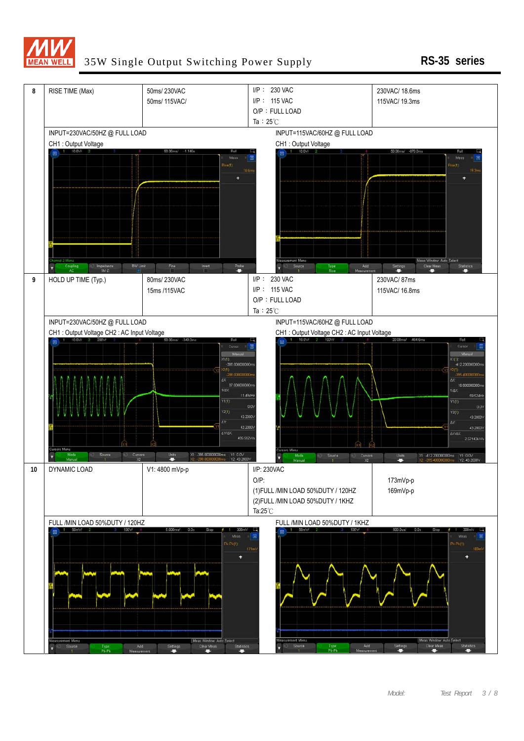

#### 35W Single Output Switching Power Supply **RS-35 series**

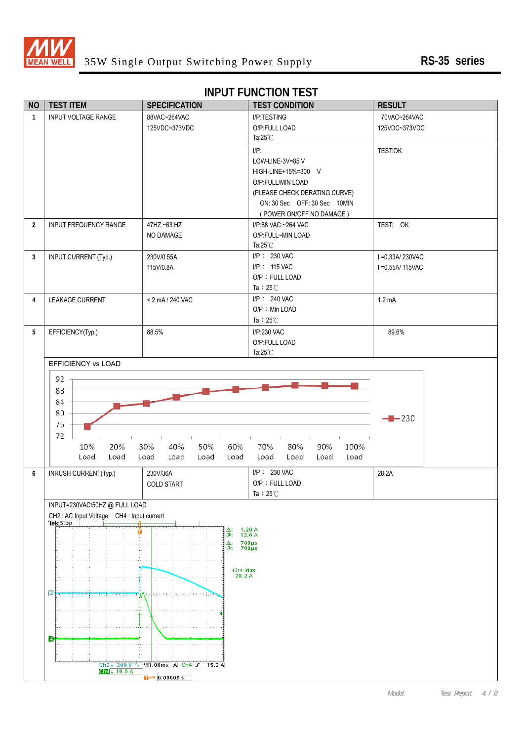

#### **INPUT FUNCTION TEST**

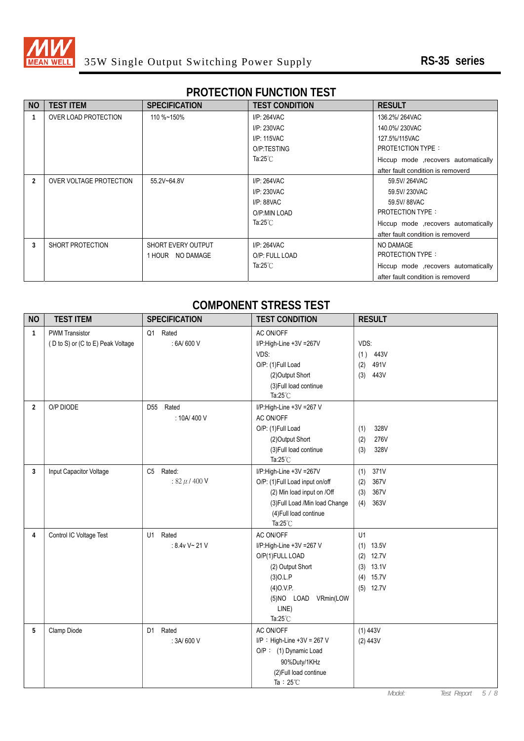

## **PROTECTION FUNCTION TEST**

| <b>NO</b>      | <b>TEST ITEM</b>        | <b>SPECIFICATION</b> | <b>TEST CONDITION</b> | <b>RESULT</b>                        |
|----------------|-------------------------|----------------------|-----------------------|--------------------------------------|
|                | OVER LOAD PROTECTION    | 110 %~150%           | $I/P: 264$ VAC        | 136.2%/264VAC                        |
|                |                         |                      | I/P: 230VAC           | 140.0%/230VAC                        |
|                |                         |                      | I/P: 115VAC           | 127.5%/115VAC                        |
|                |                         |                      | O/P:TESTING           | <b>PROTE1CTION TYPE:</b>             |
|                |                         |                      | Ta:25 $°C$            | Hiccup mode , recovers automatically |
|                |                         |                      |                       | after fault condition is removerd    |
| $\mathfrak{p}$ | OVER VOLTAGE PROTECTION | 55.2V~64.8V          | $I/P: 264$ VAC        | 59.5V/264VAC                         |
|                |                         |                      | I/P: 230VAC           | 59.5V/230VAC                         |
|                |                         |                      | $I/P: 88$ VAC         | 59.5V/88VAC                          |
|                |                         |                      | O/P:MIN LOAD          | <b>PROTECTION TYPE:</b>              |
|                |                         |                      | Ta:25 $°C$            | Hiccup mode , recovers automatically |
|                |                         |                      |                       | after fault condition is removerd    |
| 3              | SHORT PROTECTION        | SHORT EVERY OUTPUT   | $I/P: 264$ VAC        | NO DAMAGE                            |
|                |                         | 1 HOUR NO DAMAGE     | O/P: FULL LOAD        | <b>PROTECTION TYPE:</b>              |
|                |                         |                      | Ta: $25^{\circ}$ C    | Hiccup mode , recovers automatically |
|                |                         |                      |                       | after fault condition is removerd    |

#### **COMPONENT STRESS TEST**

| <b>NO</b>      | <b>TEST ITEM</b>                  | <b>SPECIFICATION</b>     | <b>TEST CONDITION</b>                        | <b>RESULT</b>               |
|----------------|-----------------------------------|--------------------------|----------------------------------------------|-----------------------------|
| $\mathbf{1}$   | <b>PWM Transistor</b>             | Q1 Rated                 | AC ON/OFF                                    |                             |
|                | (D to S) or (C to E) Peak Voltage | : 6A/600 V               | I/P:High-Line +3V =267V                      | VDS:                        |
|                |                                   |                          | VDS:                                         | (1)<br>443V                 |
|                |                                   |                          | O/P: (1)Full Load                            | (2)<br>491V                 |
|                |                                   |                          | (2) Output Short                             | 443V<br>(3)                 |
|                |                                   |                          | (3) Full load continue                       |                             |
|                |                                   |                          | Ta: $25^{\circ}$ C                           |                             |
| $\overline{2}$ | O/P DIODE                         | Rated<br>D <sub>55</sub> | I/P:High-Line +3V =267 V                     |                             |
|                |                                   | : 10A/400 V              | AC ON/OFF                                    |                             |
|                |                                   |                          | O/P: (1)Full Load                            | 328V<br>(1)                 |
|                |                                   |                          | (2) Output Short                             | 276V<br>(2)                 |
|                |                                   |                          | (3) Full load continue                       | 328V<br>(3)                 |
|                |                                   |                          | Ta: $25^{\circ}$ C                           |                             |
| 3              | Input Capacitor Voltage           | C5 Rated:                | I/P:High-Line +3V =267V                      | 371V<br>(1)                 |
|                |                                   | $: 82 \mu / 400 V$       | O/P: (1)Full Load input on/off               | 367V<br>(2)                 |
|                |                                   |                          | (2) Min load input on /Off                   | 367V<br>(3)                 |
|                |                                   |                          | (3) Full Load /Min load Change               | 363V<br>(4)                 |
|                |                                   |                          | (4) Full load continue<br>Ta: $25^{\circ}$ C |                             |
|                |                                   | U1<br>Rated              | AC ON/OFF                                    | U1                          |
| 4              | Control IC Voltage Test           | : 8.4v V~ 21 V           |                                              |                             |
|                |                                   |                          | I/P:High-Line +3V =267 V<br>O/P(1)FULL LOAD  | $(1)$ 13.5V<br>12.7V<br>(2) |
|                |                                   |                          | (2) Output Short                             | $(3)$ 13.1V                 |
|                |                                   |                          | $(3)$ O.L.P                                  | 15.7V<br>(4)                |
|                |                                   |                          | $(4)$ O.V.P.                                 | $(5)$ 12.7V                 |
|                |                                   |                          | (5)NO LOAD VRmin(LOW                         |                             |
|                |                                   |                          | LINE)                                        |                             |
|                |                                   |                          | Ta: $25^{\circ}$ C                           |                             |
| 5              | Clamp Diode                       | D1 Rated                 | AC ON/OFF                                    | (1) 443V                    |
|                |                                   | : 3A/600 V               | $I/P$ : High-Line +3V = 267 V                | (2) 443V                    |
|                |                                   |                          | O/P: (1) Dynamic Load                        |                             |
|                |                                   |                          | 90%Duty/1KHz                                 |                             |
|                |                                   |                          | (2) Full load continue                       |                             |
|                |                                   |                          | Ta: $25^{\circ}$ C                           |                             |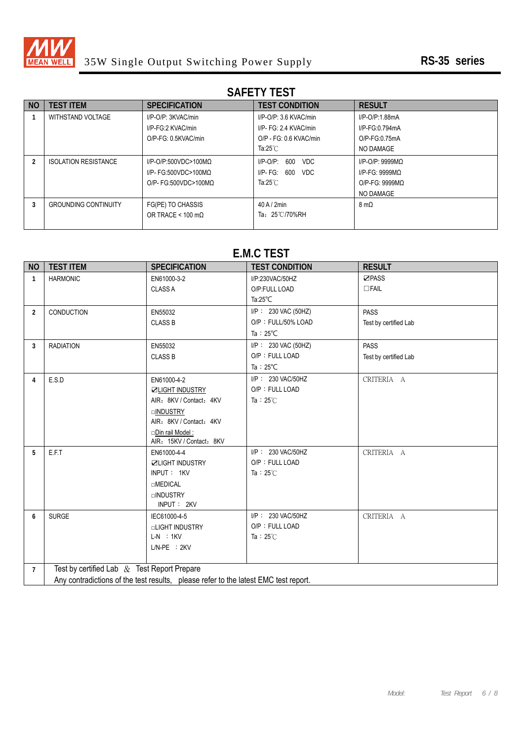

## **SAFETY TEST**

| <b>NO</b> | <b>TEST ITEM</b>            | <b>SPECIFICATION</b>             | <b>TEST CONDITION</b>    | <b>RESULT</b>       |
|-----------|-----------------------------|----------------------------------|--------------------------|---------------------|
|           | WITHSTAND VOLTAGE           | I/P-O/P: 3KVAC/min               | $I/P$ -O/P: 3.6 KVAC/min | I/P-O/P:1.88mA      |
|           |                             | I/P-FG:2 KVAC/min                | I/P- FG: 2.4 KVAC/min    | I/P-FG:0.794mA      |
|           |                             | O/P-FG: 0.5KVAC/min              | O/P - FG: 0.6 KVAC/min   | O/P-FG:0.75mA       |
|           |                             |                                  | Ta: $25^{\circ}$ C       | NO DAMAGE           |
|           | <b>ISOLATION RESISTANCE</b> | $I/P$ -O/P:500VDC>100MQ          | I/P-O/P:<br>600<br>VDC   | $I/P$ -O/P: 9999MQ  |
|           |                             | I/P- FG:500VDC>100MQ             | VDC<br>I/P- FG:<br>600   | $I/P-FG: 9999MQ$    |
|           |                             | $O/P$ - FG:500VDC>100MQ          | Ta: $25^{\circ}$ C       | $O/P-FG: 9999MO$    |
|           |                             |                                  |                          | NO DAMAGE           |
|           | <b>GROUNDING CONTINUITY</b> | FG(PE) TO CHASSIS                | $40$ A $/$ 2min          | $8 \text{ m}\Omega$ |
|           |                             | OR TRACE < $100 \text{ m}\Omega$ | Ta: 25°C/70%RH           |                     |
|           |                             |                                  |                          |                     |

#### **E.M.C TEST**

| <b>NO</b>      | <b>TEST ITEM</b>                                                                    | <b>SPECIFICATION</b>     | <b>TEST CONDITION</b> | <b>RESULT</b>         |  |  |  |
|----------------|-------------------------------------------------------------------------------------|--------------------------|-----------------------|-----------------------|--|--|--|
| $\mathbf{1}$   | <b>HARMONIC</b>                                                                     | EN61000-3-2              | I/P:230VAC/50HZ       | ☑PASS                 |  |  |  |
|                |                                                                                     | <b>CLASS A</b>           | O/P:FULL LOAD         | $\Box$ FAIL           |  |  |  |
|                |                                                                                     |                          | Ta: $25^{\circ}$ C    |                       |  |  |  |
| $\overline{2}$ | <b>CONDUCTION</b>                                                                   | EN55032                  | I/P: 230 VAC (50HZ)   | <b>PASS</b>           |  |  |  |
|                |                                                                                     | <b>CLASS B</b>           | O/P: FULL/50% LOAD    | Test by certified Lab |  |  |  |
|                |                                                                                     |                          | Ta: $25^{\circ}$ C    |                       |  |  |  |
| 3              | <b>RADIATION</b>                                                                    | EN55032                  | I/P: 230 VAC (50HZ)   | <b>PASS</b>           |  |  |  |
|                |                                                                                     | <b>CLASS B</b>           | O/P: FULL LOAD        | Test by certified Lab |  |  |  |
|                |                                                                                     |                          | Ta: $25^{\circ}$ C    |                       |  |  |  |
| 4              | E.S.D                                                                               | EN61000-4-2              | I/P: 230 VAC/50HZ     | CRITERIA A            |  |  |  |
|                |                                                                                     | <b>ZLIGHT INDUSTRY</b>   | O/P: FULL LOAD        |                       |  |  |  |
|                |                                                                                     | AIR: 8KV / Contact: 4KV  | Ta: $25^\circ$ C      |                       |  |  |  |
|                |                                                                                     | □ <b>INDUSTRY</b>        |                       |                       |  |  |  |
|                |                                                                                     | AIR: 8KV / Contact: 4KV  |                       |                       |  |  |  |
|                |                                                                                     | □Din rail Model:         |                       |                       |  |  |  |
|                |                                                                                     | AIR: 15KV / Contact: 8KV |                       |                       |  |  |  |
| 5              | E.F.T                                                                               | EN61000-4-4              | I/P: 230 VAC/50HZ     | CRITERIA A            |  |  |  |
|                |                                                                                     | <b>ZLIGHT INDUSTRY</b>   | O/P: FULL LOAD        |                       |  |  |  |
|                |                                                                                     | INPUT: 1KV               | Ta: $25^{\circ}$ C    |                       |  |  |  |
|                |                                                                                     | <b>OMEDICAL</b>          |                       |                       |  |  |  |
|                |                                                                                     | <b>OINDUSTRY</b>         |                       |                       |  |  |  |
|                |                                                                                     | INPUT: 2KV               |                       |                       |  |  |  |
| 6              | <b>SURGE</b>                                                                        | IEC61000-4-5             | I/P: 230 VAC/50HZ     | CRITERIA A            |  |  |  |
|                |                                                                                     | <b>QLIGHT INDUSTRY</b>   | O/P: FULL LOAD        |                       |  |  |  |
|                |                                                                                     | $L-N$ : 1KV              | Ta: $25^\circ$ C      |                       |  |  |  |
|                |                                                                                     | $L/N-PE$ : $2KV$         |                       |                       |  |  |  |
| $\overline{7}$ | Test by certified Lab $&$ Test Report Prepare                                       |                          |                       |                       |  |  |  |
|                |                                                                                     |                          |                       |                       |  |  |  |
|                | Any contradictions of the test results, please refer to the latest EMC test report. |                          |                       |                       |  |  |  |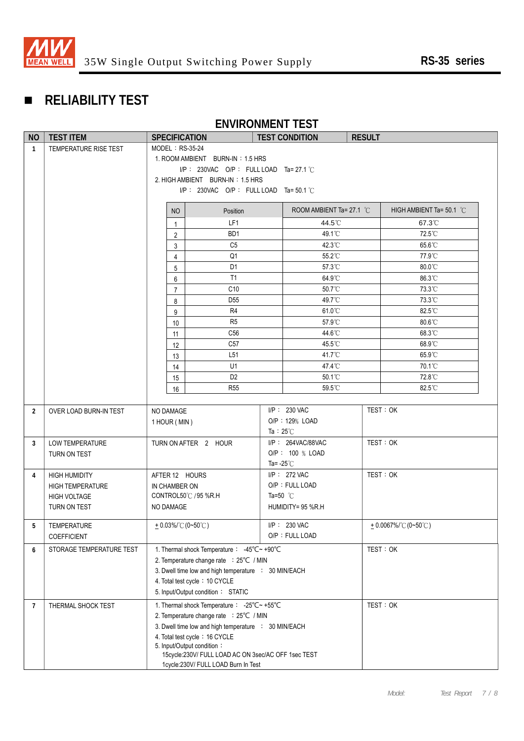

# **RELIABILITY TEST**

## **ENVIRONMENT TEST**

| NO             | <b>TEST ITEM</b>         | <b>TEST CONDITION</b><br><b>SPECIFICATION</b>            |                                                                                   | <b>RESULT</b>       |                                    |  |                          |
|----------------|--------------------------|----------------------------------------------------------|-----------------------------------------------------------------------------------|---------------------|------------------------------------|--|--------------------------|
| $\mathbf{1}$   | TEMPERATURE RISE TEST    | MODEL: RS-35-24                                          |                                                                                   |                     |                                    |  |                          |
|                |                          | 1. ROOM AMBIENT BURN-IN: 1.5 HRS                         |                                                                                   |                     |                                    |  |                          |
|                |                          |                                                          | I/P: 230VAC O/P: FULL LOAD Ta= 27.1 °C                                            |                     |                                    |  |                          |
|                |                          |                                                          | 2. HIGH AMBIENT BURN-IN: 1.5 HRS                                                  |                     |                                    |  |                          |
|                |                          | $I/P$ : 230VAC O/P: FULL LOAD Ta=50.1 °C                 |                                                                                   |                     |                                    |  |                          |
|                |                          | NO                                                       | Position                                                                          |                     | ROOM AMBIENT Ta= 27.1 $^{\circ}$ C |  | HIGH AMBIENT Ta= 50.1 °C |
|                |                          | 1                                                        | LF1                                                                               |                     | 44.5°C                             |  | 67.3°C                   |
|                |                          | $\overline{c}$                                           | BD <sub>1</sub>                                                                   |                     | 49.1°C                             |  | 72.5°C                   |
|                |                          | 3                                                        | C <sub>5</sub>                                                                    |                     | $42.3^{\circ}$ C                   |  | $65.6^{\circ}$ C         |
|                |                          | 4                                                        | Q <sub>1</sub>                                                                    |                     | 55.2°C                             |  | 77.9°C                   |
|                |                          | 5                                                        | D <sub>1</sub>                                                                    |                     | 57.3°C                             |  | 80.0°C                   |
|                |                          | 6                                                        | T1                                                                                |                     | 64.9°C                             |  | 86.3°C                   |
|                |                          | $\overline{7}$                                           | C10                                                                               |                     | 50.7°C                             |  | 73.3°C                   |
|                |                          | 8                                                        | D <sub>55</sub>                                                                   |                     | 49.7°C                             |  | 73.3°C                   |
|                |                          | 9                                                        | R <sub>4</sub>                                                                    |                     | 61.0°C                             |  | 82.5°C                   |
|                |                          | 10                                                       | R <sub>5</sub>                                                                    |                     | 57.9°C                             |  | 80.6°C                   |
|                |                          | 11                                                       | C <sub>56</sub>                                                                   |                     | 44.6°C                             |  | 68.3°C                   |
|                |                          | 12                                                       | C57                                                                               |                     | 45.5°C                             |  | 68.9°C                   |
|                |                          | 13                                                       | L <sub>51</sub><br>U1                                                             |                     | 41.7°C<br>47.4°C                   |  | 65.9°C<br>70.1°C         |
|                |                          | 14                                                       | D <sub>2</sub>                                                                    |                     | 50.1°C                             |  | 72.8°C                   |
|                |                          | 15                                                       | <b>R55</b>                                                                        |                     | 59.5°C                             |  | 82.5°C                   |
|                |                          | 16                                                       |                                                                                   |                     |                                    |  |                          |
| $\overline{2}$ | OVER LOAD BURN-IN TEST   | I/P: 230 VAC<br>NO DAMAGE                                |                                                                                   |                     | TEST: OK                           |  |                          |
|                |                          | 1 HOUR (MIN)                                             |                                                                                   |                     | O/P: 129% LOAD                     |  |                          |
|                |                          |                                                          |                                                                                   | Ta : $25^{\circ}$ C |                                    |  |                          |
| 3              | LOW TEMPERATURE          | TURN ON AFTER 2 HOUR                                     |                                                                                   |                     | I/P: 264VAC/88VAC                  |  | TEST: OK                 |
|                | TURN ON TEST             |                                                          |                                                                                   |                     | O/P: 100 % LOAD                    |  |                          |
|                |                          |                                                          |                                                                                   | Ta= $-25^{\circ}$ C |                                    |  |                          |
| 4              | <b>HIGH HUMIDITY</b>     | AFTER 12 HOURS                                           |                                                                                   |                     | $I/P$ : 272 VAC                    |  | TEST: OK                 |
|                | <b>HIGH TEMPERATURE</b>  | IN CHAMBER ON                                            |                                                                                   |                     | O/P: FULL LOAD                     |  |                          |
|                | <b>HIGH VOLTAGE</b>      |                                                          | CONTROL50℃ / 95 %R.H                                                              | Ta=50 $^{\circ}$ C  |                                    |  |                          |
|                | TURN ON TEST             |                                                          | NO DAMAGE<br>HUMIDITY= 95 %R.H                                                    |                     |                                    |  |                          |
| 5              | <b>TEMPERATURE</b>       | $+0.03\%$ (0~50°C)                                       |                                                                                   |                     | I/P: 230 VAC                       |  | $+0.0067\%$ (0~50°C)     |
|                | <b>COEFFICIENT</b>       |                                                          | O/P: FULL LOAD                                                                    |                     |                                    |  |                          |
| 6              | STORAGE TEMPERATURE TEST |                                                          | 1. Thermal shock Temperature : -45°C~ +90°C                                       |                     |                                    |  | TEST: OK                 |
|                |                          | 2. Temperature change rate : 25°C / MIN                  |                                                                                   |                     |                                    |  |                          |
|                |                          | 3. Dwell time low and high temperature : 30 MIN/EACH     |                                                                                   |                     |                                    |  |                          |
|                |                          |                                                          | 4. Total test cycle: 10 CYCLE                                                     |                     |                                    |  |                          |
|                |                          | 5. Input/Output condition: STATIC                        |                                                                                   |                     |                                    |  |                          |
| 7              | THERMAL SHOCK TEST       | 1. Thermal shock Temperature : - 25°C~ +55°C<br>TEST: OK |                                                                                   |                     |                                    |  |                          |
|                |                          | 2. Temperature change rate : 25°C / MIN                  |                                                                                   |                     |                                    |  |                          |
|                |                          | 3. Dwell time low and high temperature : 30 MIN/EACH     |                                                                                   |                     |                                    |  |                          |
|                |                          |                                                          | 4. Total test cycle: 16 CYCLE                                                     |                     |                                    |  |                          |
|                |                          |                                                          | 5. Input/Output condition:<br>15cycle:230V/ FULL LOAD AC ON 3sec/AC OFF 1sec TEST |                     |                                    |  |                          |
|                |                          |                                                          | 1cycle:230V/ FULL LOAD Burn In Test                                               |                     |                                    |  |                          |